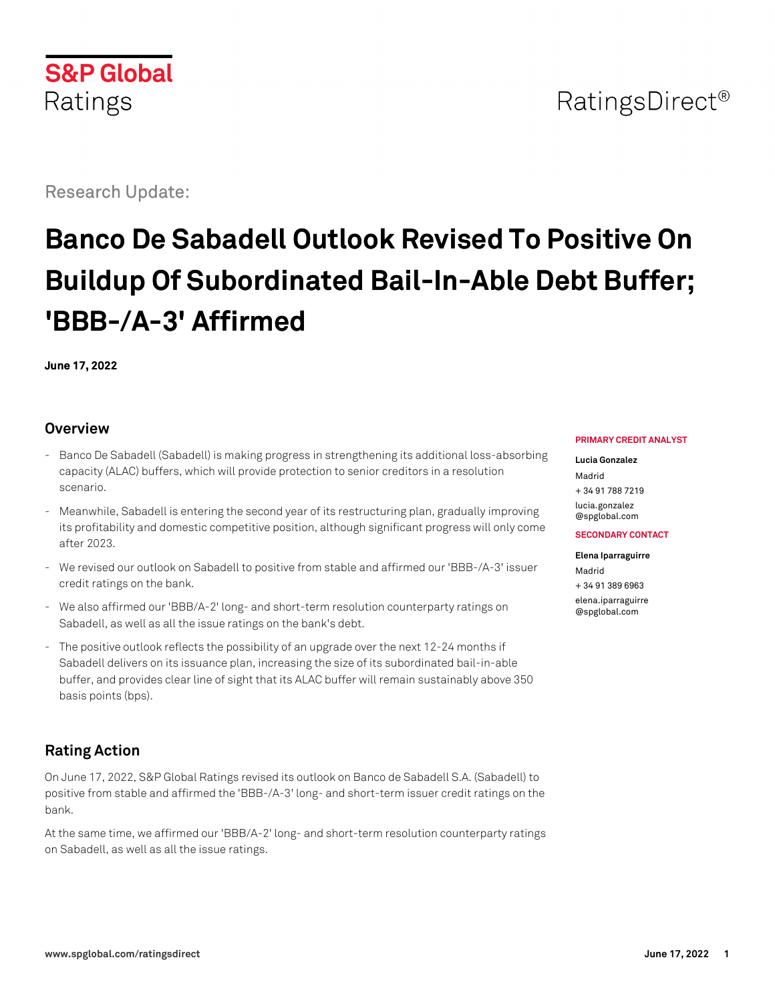

Research Update:

# **Banco De Sabadell Outlook Revised To Positive On Buildup Of Subordinated Bail-In-Able Debt Buffer; 'BBB-/A-3' Affirmed**

**June 17, 2022**

## **Overview**

- Banco De Sabadell (Sabadell) is making progress in strengthening its additional loss-absorbing capacity (ALAC) buffers, which will provide protection to senior creditors in a resolution scenario.
- Meanwhile, Sabadell is entering the second year of its restructuring plan, gradually improving its profitability and domestic competitive position, although significant progress will only come after 2023.
- We revised our outlook on Sabadell to positive from stable and affirmed our 'BBB-/A-3' issuer credit ratings on the bank.
- We also affirmed our 'BBB/A-2' long- and short-term resolution counterparty ratings on Sabadell, as well as all the issue ratings on the bank's debt.
- The positive outlook reflects the possibility of an upgrade over the next 12-24 months if Sabadell delivers on its issuance plan, increasing the size of its subordinated bail-in-able buffer, and provides clear line of sight that its ALAC buffer will remain sustainably above 350 basis points (bps).

## **Rating Action**

On June 17, 2022, S&P Global Ratings revised its outlook on Banco de Sabadell S.A. (Sabadell) to positive from stable and affirmed the 'BBB-/A-3' long- and short-term issuer credit ratings on the bank.

At the same time, we affirmed our 'BBB/A-2' long- and short-term resolution counterparty ratings on Sabadell, as well as all the issue ratings.

#### **PRIMARY CREDIT ANALYST**

**Lucia Gonzalez** Madrid + 34 91 788 7219 [lucia.gonzalez](mailto:lucia.gonzalez@spglobal.com) [@spglobal.com](mailto:lucia.gonzalez@spglobal.com)

#### **SECONDARY CONTACT**

**Elena Iparraguirre** Madrid + 34 91 389 6963 [elena.iparraguirre](mailto:elena.iparraguirre@spglobal.com) [@spglobal.com](mailto:elena.iparraguirre@spglobal.com)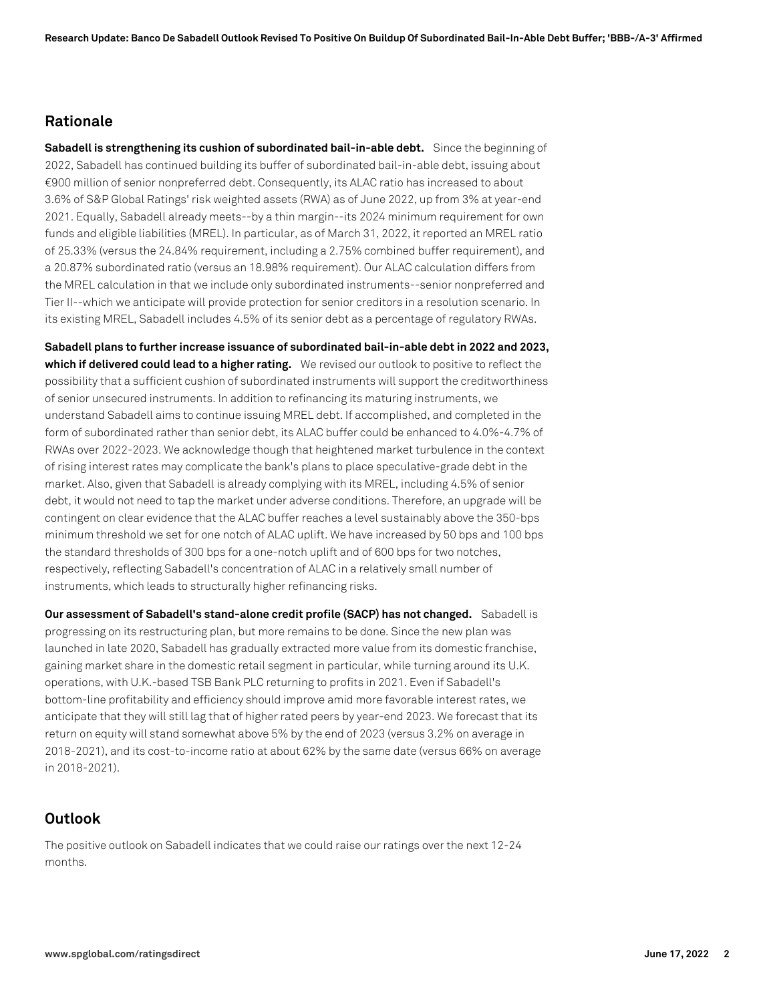#### **Rationale**

**Sabadell is strengthening its cushion of subordinated bail-in-able debt.** Since the beginning of 2022, Sabadell has continued building its buffer of subordinated bail-in-able debt, issuing about €900 million of senior nonpreferred debt. Consequently, its ALAC ratio has increased to about 3.6% of S&P Global Ratings' risk weighted assets (RWA) as of June 2022, up from 3% at year-end 2021. Equally, Sabadell already meets--by a thin margin--its 2024 minimum requirement for own funds and eligible liabilities (MREL). In particular, as of March 31, 2022, it reported an MREL ratio of 25.33% (versus the 24.84% requirement, including a 2.75% combined buffer requirement), and a 20.87% subordinated ratio (versus an 18.98% requirement). Our ALAC calculation differs from the MREL calculation in that we include only subordinated instruments--senior nonpreferred and Tier II--which we anticipate will provide protection for senior creditors in a resolution scenario. In its existing MREL, Sabadell includes 4.5% of its senior debt as a percentage of regulatory RWAs.

**Sabadell plans to further increase issuance of subordinated bail-in-able debt in 2022 and 2023, which if delivered could lead to a higher rating.** We revised our outlook to positive to reflect the possibility that a sufficient cushion of subordinated instruments will support the creditworthiness of senior unsecured instruments. In addition to refinancing its maturing instruments, we understand Sabadell aims to continue issuing MREL debt. If accomplished, and completed in the form of subordinated rather than senior debt, its ALAC buffer could be enhanced to 4.0%-4.7% of RWAs over 2022-2023. We acknowledge though that heightened market turbulence in the context of rising interest rates may complicate the bank's plans to place speculative-grade debt in the market. Also, given that Sabadell is already complying with its MREL, including 4.5% of senior debt, it would not need to tap the market under adverse conditions. Therefore, an upgrade will be contingent on clear evidence that the ALAC buffer reaches a level sustainably above the 350-bps minimum threshold we set for one notch of ALAC uplift. We have increased by 50 bps and 100 bps the standard thresholds of 300 bps for a one-notch uplift and of 600 bps for two notches, respectively, reflecting Sabadell's concentration of ALAC in a relatively small number of instruments, which leads to structurally higher refinancing risks.

**Our assessment of Sabadell's stand-alone credit profile (SACP) has not changed.** Sabadell is progressing on its restructuring plan, but more remains to be done. Since the new plan was launched in late 2020, Sabadell has gradually extracted more value from its domestic franchise, gaining market share in the domestic retail segment in particular, while turning around its U.K. operations, with U.K.-based TSB Bank PLC returning to profits in 2021. Even if Sabadell's bottom-line profitability and efficiency should improve amid more favorable interest rates, we anticipate that they will still lag that of higher rated peers by year-end 2023. We forecast that its return on equity will stand somewhat above 5% by the end of 2023 (versus 3.2% on average in 2018-2021), and its cost-to-income ratio at about 62% by the same date (versus 66% on average in 2018-2021).

#### **Outlook**

The positive outlook on Sabadell indicates that we could raise our ratings over the next 12-24 months.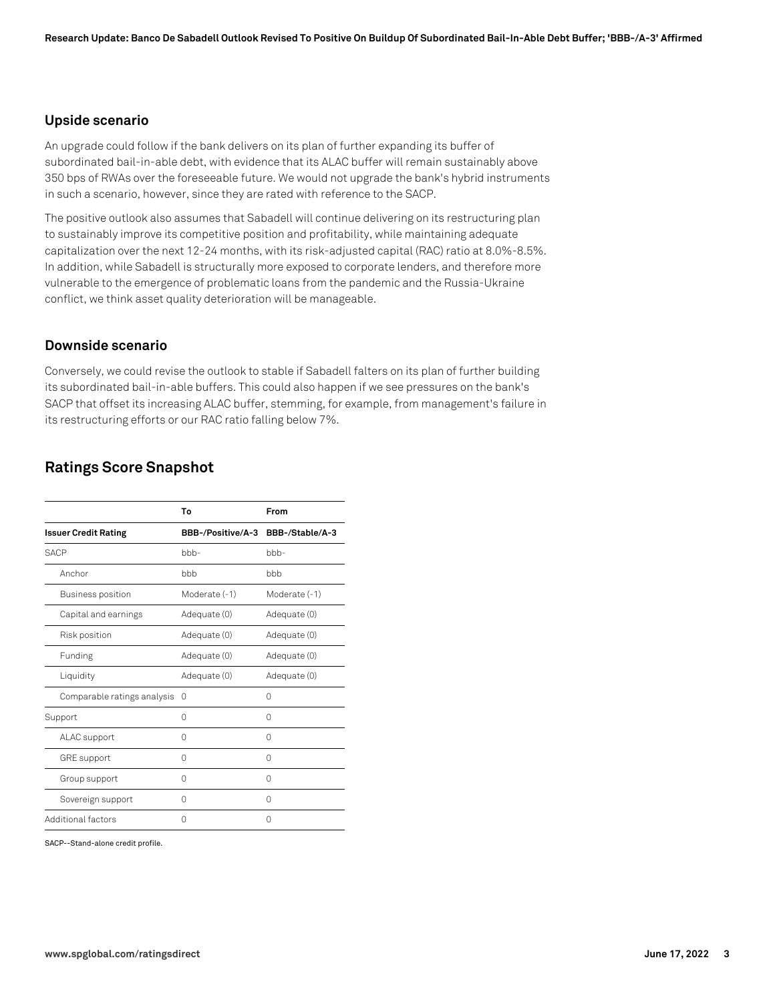#### **Upside scenario**

An upgrade could follow if the bank delivers on its plan of further expanding its buffer of subordinated bail-in-able debt, with evidence that its ALAC buffer will remain sustainably above 350 bps of RWAs over the foreseeable future. We would not upgrade the bank's hybrid instruments in such a scenario, however, since they are rated with reference to the SACP.

The positive outlook also assumes that Sabadell will continue delivering on its restructuring plan to sustainably improve its competitive position and profitability, while maintaining adequate capitalization over the next 12-24 months, with its risk-adjusted capital (RAC) ratio at 8.0%-8.5%. In addition, while Sabadell is structurally more exposed to corporate lenders, and therefore more vulnerable to the emergence of problematic loans from the pandemic and the Russia-Ukraine conflict, we think asset quality deterioration will be manageable.

#### **Downside scenario**

Conversely, we could revise the outlook to stable if Sabadell falters on its plan of further building its subordinated bail-in-able buffers. This could also happen if we see pressures on the bank's SACP that offset its increasing ALAC buffer, stemming, for example, from management's failure in its restructuring efforts or our RAC ratio falling below 7%.

## **Ratings Score Snapshot**

|                             | To                | From                 |
|-----------------------------|-------------------|----------------------|
| <b>Issuer Credit Rating</b> | BBB-/Positive/A-3 | BBB-/Stable/A-3      |
| SACP                        | $bbb-$            | $b$ <sub>b</sub> $-$ |
| Anchor                      | bbb               | bbb                  |
| Business position           | Moderate (-1)     | Moderate (-1)        |
| Capital and earnings        | Adequate (0)      | Adequate (0)         |
| Risk position               | Adequate (0)      | Adequate (0)         |
| Funding                     | Adequate (0)      | Adequate (0)         |
| Liquidity                   | Adequate (0)      | Adequate (0)         |
| Comparable ratings analysis | $\Omega$          | 0                    |
| Support                     | U                 | 0                    |
| ALAC support                | 0                 | 0                    |
| <b>GRE</b> support          | 0                 | 0                    |
| Group support               | 0                 | 0                    |
| Sovereign support           | 0                 | 0                    |
| Additional factors          | 0                 | 0                    |

SACP--Stand-alone credit profile.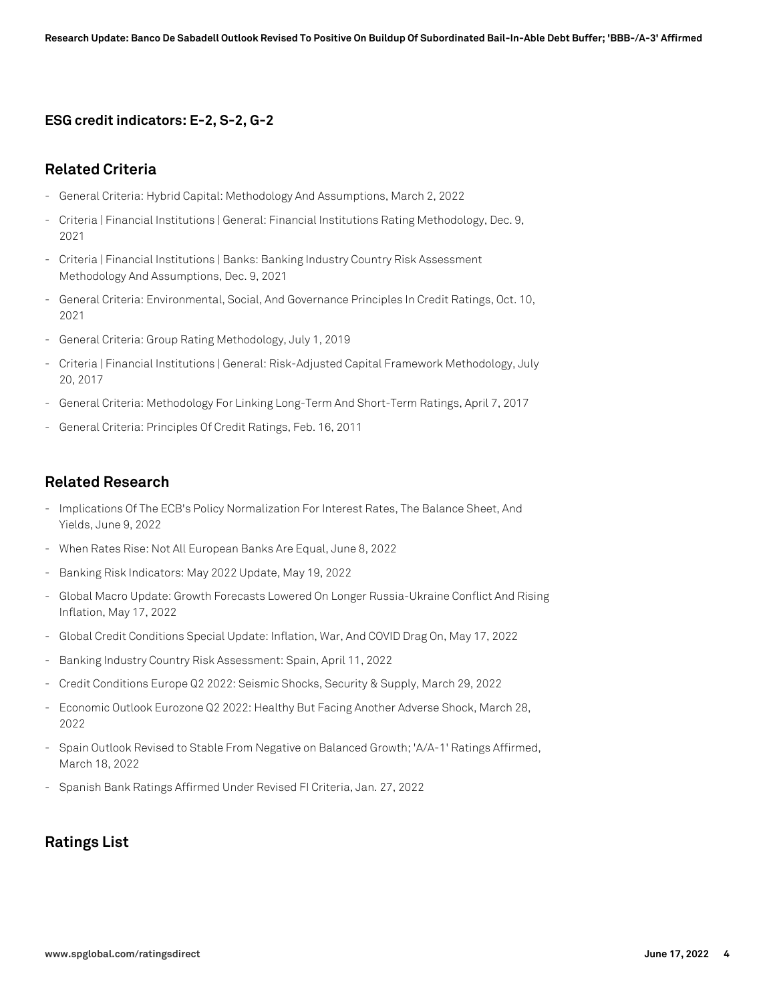#### **ESG credit indicators: E-2, S-2, G-2**

#### **Related Criteria**

- General Criteria: Hybrid Capital: Methodology And Assumptions, March 2, 2022
- Criteria | Financial Institutions | General: Financial Institutions Rating Methodology, Dec. 9, 2021
- Criteria | Financial Institutions | Banks: Banking Industry Country Risk Assessment Methodology And Assumptions, Dec. 9, 2021
- General Criteria: Environmental, Social, And Governance Principles In Credit Ratings, Oct. 10, 2021
- General Criteria: Group Rating Methodology, July 1, 2019
- Criteria | Financial Institutions | General: Risk-Adjusted Capital Framework Methodology, July 20, 2017
- General Criteria: Methodology For Linking Long-Term And Short-Term Ratings, April 7, 2017
- General Criteria: Principles Of Credit Ratings, Feb. 16, 2011

#### **Related Research**

- Implications Of The ECB's Policy Normalization For Interest Rates, The Balance Sheet, And Yields, June 9, 2022
- When Rates Rise: Not All European Banks Are Equal, June 8, 2022
- Banking Risk Indicators: May 2022 Update, May 19, 2022
- Global Macro Update: Growth Forecasts Lowered On Longer Russia-Ukraine Conflict And Rising Inflation, May 17, 2022
- Global Credit Conditions Special Update: Inflation, War, And COVID Drag On, May 17, 2022
- Banking Industry Country Risk Assessment: Spain, April 11, 2022
- Credit Conditions Europe Q2 2022: Seismic Shocks, Security & Supply, March 29, 2022
- Economic Outlook Eurozone Q2 2022: Healthy But Facing Another Adverse Shock, March 28, 2022
- Spain Outlook Revised to Stable From Negative on Balanced Growth; 'A/A-1' Ratings Affirmed, March 18, 2022
- Spanish Bank Ratings Affirmed Under Revised FI Criteria, Jan. 27, 2022

## **Ratings List**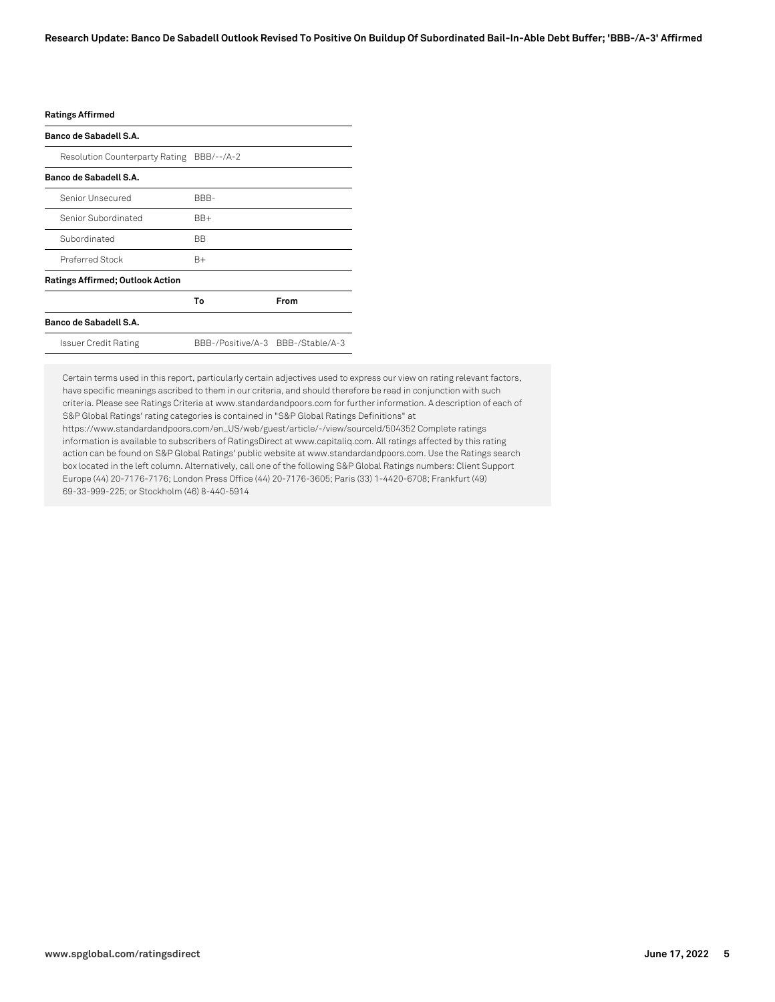#### **Ratings Affirmed**

| Banco de Sabadell S.A.                  |                                   |      |
|-----------------------------------------|-----------------------------------|------|
| Resolution Counterparty Rating          | BBB/--/A-2                        |      |
| Banco de Sabadell S.A.                  |                                   |      |
| Senior Unsecured                        | BBB-                              |      |
| Senior Subordinated                     | $BB+$                             |      |
| Subordinated                            | BB.                               |      |
| Preferred Stock                         | B+                                |      |
| <b>Ratings Affirmed; Outlook Action</b> |                                   |      |
|                                         | Т٥                                | From |
| Banco de Sabadell S.A.                  |                                   |      |
| Issuer Credit Rating                    | BBB-/Positive/A-3 BBB-/Stable/A-3 |      |

Certain terms used in this report, particularly certain adjectives used to express our view on rating relevant factors, have specific meanings ascribed to them in our criteria, and should therefore be read in conjunction with such criteria. Please see Ratings Criteria at www.standardandpoors.com for further information. A description of each of S&P Global Ratings' rating categories is contained in "S&P Global Ratings Definitions" at

https://www.standardandpoors.com/en\_US/web/guest/article/-/view/sourceId/504352 Complete ratings information is available to subscribers of RatingsDirect at www.capitaliq.com. All ratings affected by this rating action can be found on S&P Global Ratings' public website at www.standardandpoors.com. Use the Ratings search box located in the left column. Alternatively, call one of the following S&P Global Ratings numbers: Client Support Europe (44) 20-7176-7176; London Press Office (44) 20-7176-3605; Paris (33) 1-4420-6708; Frankfurt (49) 69-33-999-225; or Stockholm (46) 8-440-5914